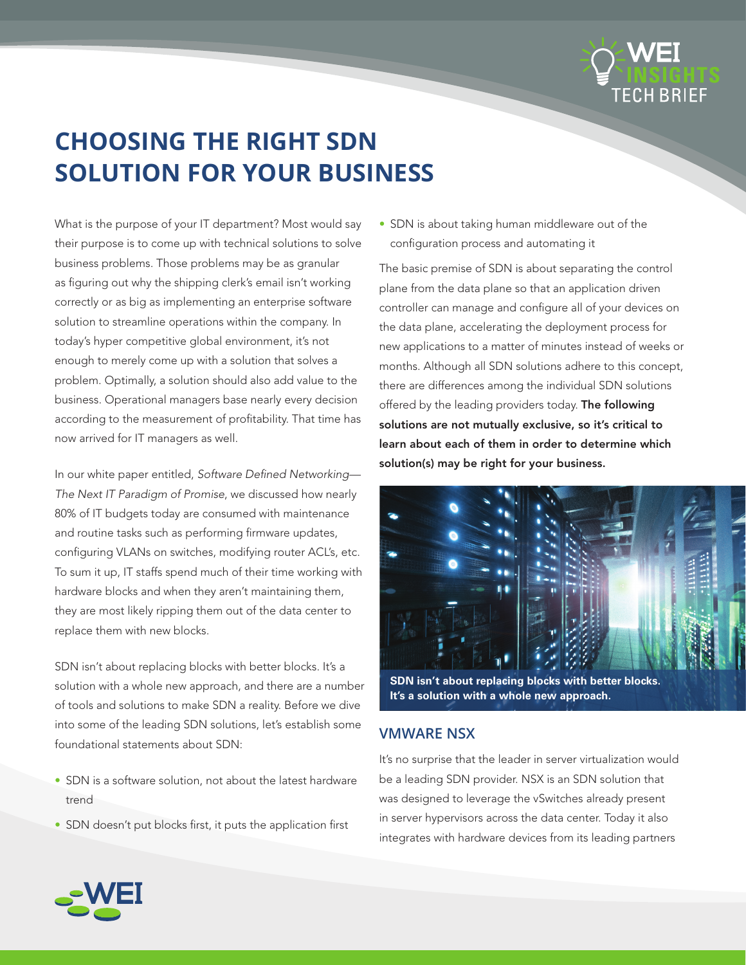

# **CHOOSING THE RIGHT SDN SOLUTION FOR YOUR BUSINESS**

What is the purpose of your IT department? Most would say their purpose is to come up with technical solutions to solve business problems. Those problems may be as granular as figuring out why the shipping clerk's email isn't working correctly or as big as implementing an enterprise software solution to streamline operations within the company. In today's hyper competitive global environment, it's not enough to merely come up with a solution that solves a problem. Optimally, a solution should also add value to the business. Operational managers base nearly every decision according to the measurement of profitability. That time has now arrived for IT managers as well.

In our white paper entitled, *Software Defined Networking— The Next IT Paradigm of Promise*, we discussed how nearly 80% of IT budgets today are consumed with maintenance and routine tasks such as performing firmware updates, configuring VLANs on switches, modifying router ACL's, etc. To sum it up, IT staffs spend much of their time working with hardware blocks and when they aren't maintaining them, they are most likely ripping them out of the data center to replace them with new blocks.

SDN isn't about replacing blocks with better blocks. It's a solution with a whole new approach, and there are a number of tools and solutions to make SDN a reality. Before we dive into some of the leading SDN solutions, let's establish some foundational statements about SDN:

- SDN is a software solution, not about the latest hardware trend
- SDN doesn't put blocks first, it puts the application first

• SDN is about taking human middleware out of the configuration process and automating it

The basic premise of SDN is about separating the control plane from the data plane so that an application driven controller can manage and configure all of your devices on the data plane, accelerating the deployment process for new applications to a matter of minutes instead of weeks or months. Although all SDN solutions adhere to this concept, there are differences among the individual SDN solutions offered by the leading providers today. The following solutions are not mutually exclusive, so it's critical to learn about each of them in order to determine which solution(s) may be right for your business.



**SDN isn't about replacing blocks with better blocks. It's a solution with a whole new approach.**

## **VMWARE NSX**

It's no surprise that the leader in server virtualization would be a leading SDN provider. NSX is an SDN solution that was designed to leverage the vSwitches already present in server hypervisors across the data center. Today it also integrates with hardware devices from its leading partners

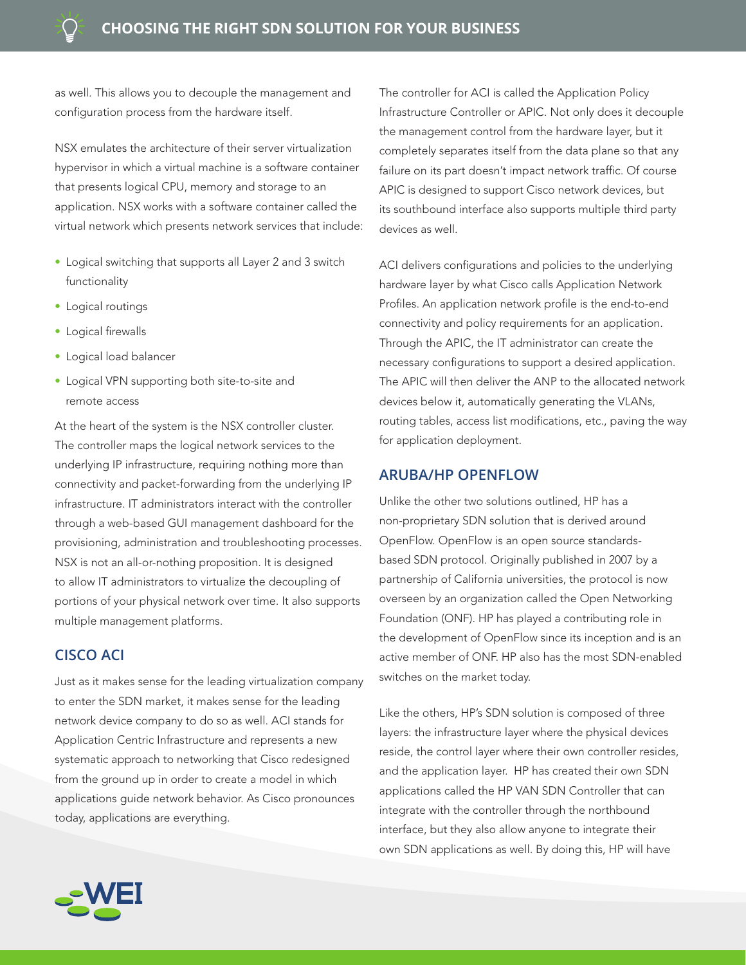as well. This allows you to decouple the management and configuration process from the hardware itself.

NSX emulates the architecture of their server virtualization hypervisor in which a virtual machine is a software container that presents logical CPU, memory and storage to an application. NSX works with a software container called the virtual network which presents network services that include:

- Logical switching that supports all Layer 2 and 3 switch functionality
- • Logical routings
- Logical firewalls
- Logical load balancer
- Logical VPN supporting both site-to-site and remote access

At the heart of the system is the NSX controller cluster. The controller maps the logical network services to the underlying IP infrastructure, requiring nothing more than connectivity and packet-forwarding from the underlying IP infrastructure. IT administrators interact with the controller through a web-based GUI management dashboard for the provisioning, administration and troubleshooting processes. NSX is not an all-or-nothing proposition. It is designed to allow IT administrators to virtualize the decoupling of portions of your physical network over time. It also supports multiple management platforms.

### **CISCO ACI**

Just as it makes sense for the leading virtualization company to enter the SDN market, it makes sense for the leading network device company to do so as well. ACI stands for Application Centric Infrastructure and represents a new systematic approach to networking that Cisco redesigned from the ground up in order to create a model in which applications guide network behavior. As Cisco pronounces today, applications are everything.



ACI delivers configurations and policies to the underlying hardware layer by what Cisco calls Application Network Profiles. An application network profile is the end-to-end connectivity and policy requirements for an application. Through the APIC, the IT administrator can create the necessary configurations to support a desired application. The APIC will then deliver the ANP to the allocated network devices below it, automatically generating the VLANs, routing tables, access list modifications, etc., paving the way for application deployment.

#### **ARUBA/HP OPENFLOW**

Unlike the other two solutions outlined, HP has a non-proprietary SDN solution that is derived around OpenFlow. OpenFlow is an open source standardsbased SDN protocol. Originally published in 2007 by a partnership of California universities, the protocol is now overseen by an organization called the Open Networking Foundation (ONF). HP has played a contributing role in the development of OpenFlow since its inception and is an active member of ONF. HP also has the most SDN-enabled switches on the market today.

Like the others, HP's SDN solution is composed of three layers: the infrastructure layer where the physical devices reside, the control layer where their own controller resides, and the application layer. HP has created their own SDN applications called the HP VAN SDN Controller that can integrate with the controller through the northbound interface, but they also allow anyone to integrate their own SDN applications as well. By doing this, HP will have